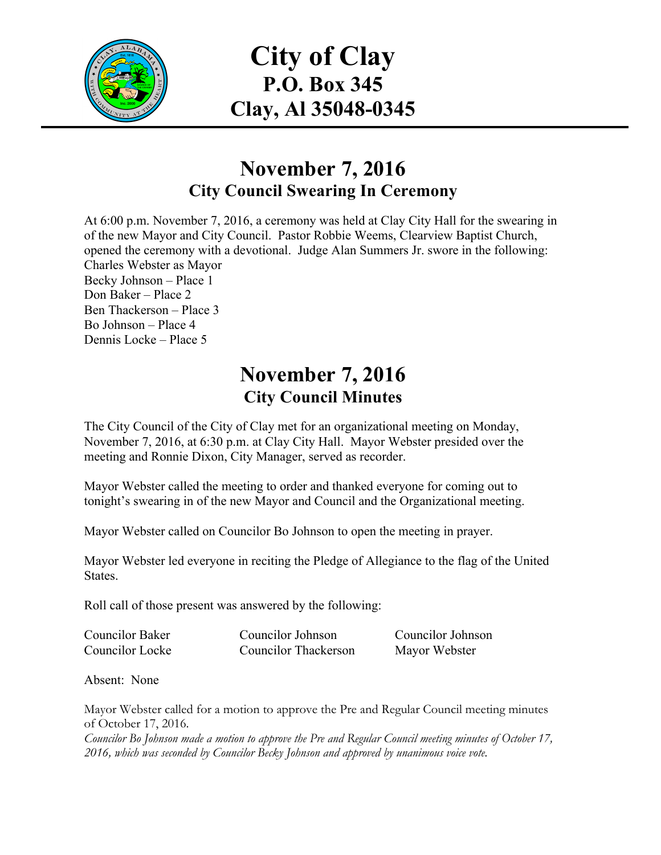

**City of Clay P.O. Box 345 Clay, Al 35048-0345**

# **November 7, 2016 City Council Swearing In Ceremony**

At 6:00 p.m. November 7, 2016, a ceremony was held at Clay City Hall for the swearing in of the new Mayor and City Council. Pastor Robbie Weems, Clearview Baptist Church, opened the ceremony with a devotional. Judge Alan Summers Jr. swore in the following: Charles Webster as Mayor Becky Johnson – Place 1 Don Baker – Place 2 Ben Thackerson – Place 3 Bo Johnson – Place 4 Dennis Locke – Place 5

# **November 7, 2016 City Council Minutes**

The City Council of the City of Clay met for an organizational meeting on Monday, November 7, 2016, at 6:30 p.m. at Clay City Hall. Mayor Webster presided over the meeting and Ronnie Dixon, City Manager, served as recorder.

Mayor Webster called the meeting to order and thanked everyone for coming out to tonight's swearing in of the new Mayor and Council and the Organizational meeting.

Mayor Webster called on Councilor Bo Johnson to open the meeting in prayer.

Mayor Webster led everyone in reciting the Pledge of Allegiance to the flag of the United States.

Roll call of those present was answered by the following:

| <b>Councilor Baker</b> | Councilor Johnson    | Councilor Johnson |
|------------------------|----------------------|-------------------|
| Councilor Locke        | Councilor Thackerson | Mayor Webster     |

Absent: None

Mayor Webster called for a motion to approve the Pre and Regular Council meeting minutes of October 17, 2016.

*Councilor Bo Johnson made a motion to approve the Pre and Regular Council meeting minutes of October 17, 2016, which was seconded by Councilor Becky Johnson and approved by unanimous voice vote.*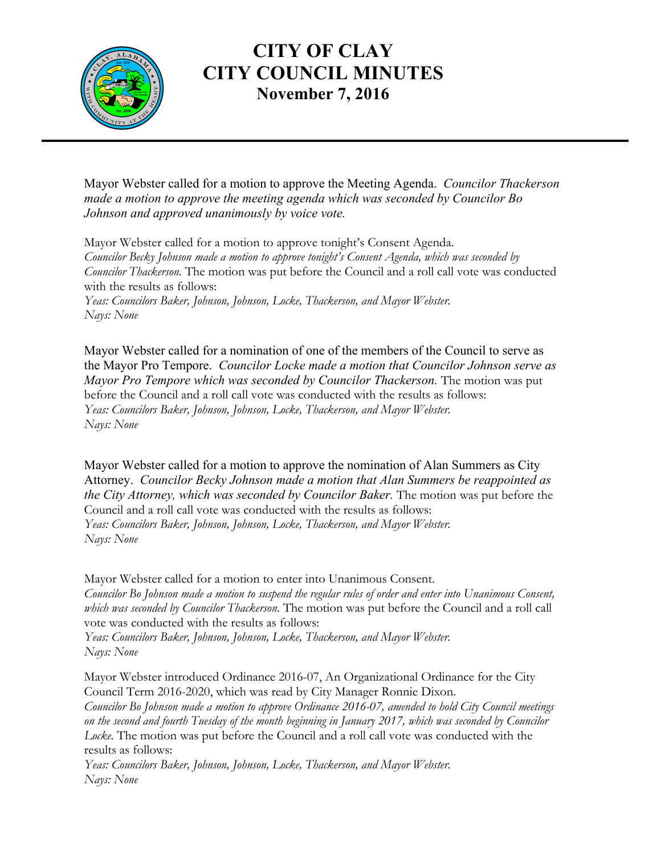

#### **CITY OF CLAY CITY COUNCIL MINUTES November 7, 2016**

Mayor Webster called for a motion to approve the Meeting Agenda. *Councilor Thackerson made a motion to approve the meeting agenda which was seconded by Councilor Bo Johnson and approved unanimously by voice vote.*

Mayor Webster called for a motion to approve tonight's Consent Agenda. *Councilor Becky Johnson made a motion to approve tonight's Consent Agenda, which was seconded by Councilor Thackerson.* The motion was put before the Council and a roll call vote was conducted with the results as follows: *Yeas: Councilors Baker, Johnson, Johnson, Locke, Thackerson, and Mayor Webster. Nays: None*

Mayor Webster called for a nomination of one of the members of the Council to serve as the Mayor Pro Tempore. *Councilor Locke made a motion that Councilor Johnson serve as Mayor Pro Tempore which was seconded by Councilor Thackerson.* The motion was put before the Council and a roll call vote was conducted with the results as follows: *Yeas: Councilors Baker, Johnson, Johnson, Locke, Thackerson, and Mayor Webster. Nays: None*

Mayor Webster called for a motion to approve the nomination of Alan Summers as City Attorney. *Councilor Becky Johnson made a motion that Alan Summers be reappointed as the City Attorney, which was seconded by Councilor Baker.* The motion was put before the Council and a roll call vote was conducted with the results as follows: *Yeas: Councilors Baker, Johnson, Johnson, Locke, Thackerson, and Mayor Webster. Nays: None*

Mayor Webster called for a motion to enter into Unanimous Consent. *Councilor Bo Johnson made a motion to suspend the regular rules of order and enter into Unanimous Consent, which was seconded by Councilor Thackerson.* The motion was put before the Council and a roll call vote was conducted with the results as follows: *Yeas: Councilors Baker, Johnson, Johnson, Locke, Thackerson, and Mayor Webster. Nays: None*

Mayor Webster introduced Ordinance 2016-07, An Organizational Ordinance for the City Council Term 2016-2020, which was read by City Manager Ronnie Dixon. *Councilor Bo Johnson made a motion to approve Ordinance 2016-07, amended to hold City Council meetings on the second and fourth Tuesday of the month beginning in January 2017, which was seconded by Councilor Locke.* The motion was put before the Council and a roll call vote was conducted with the results as follows:

*Yeas: Councilors Baker, Johnson, Johnson, Locke, Thackerson, and Mayor Webster. Nays: None*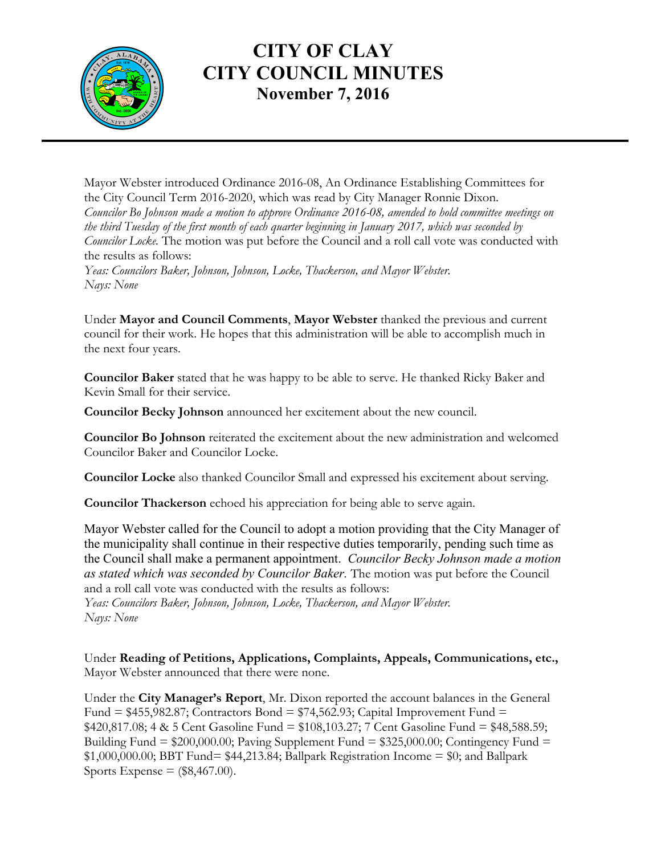

## **CITY OF CLAY CITY COUNCIL MINUTES November 7, 2016**

Mayor Webster introduced Ordinance 2016-08, An Ordinance Establishing Committees for the City Council Term 2016-2020, which was read by City Manager Ronnie Dixon. *Councilor Bo Johnson made a motion to approve Ordinance 2016-08, amended to hold committee meetings on the third Tuesday of the first month of each quarter beginning in January 2017, which was seconded by Councilor Locke.* The motion was put before the Council and a roll call vote was conducted with the results as follows: *Yeas: Councilors Baker, Johnson, Johnson, Locke, Thackerson, and Mayor Webster. Nays: None*

Under **Mayor and Council Comments**, **Mayor Webster** thanked the previous and current council for their work. He hopes that this administration will be able to accomplish much in the next four years.

**Councilor Baker** stated that he was happy to be able to serve. He thanked Ricky Baker and Kevin Small for their service.

**Councilor Becky Johnson** announced her excitement about the new council.

**Councilor Bo Johnson** reiterated the excitement about the new administration and welcomed Councilor Baker and Councilor Locke.

**Councilor Locke** also thanked Councilor Small and expressed his excitement about serving.

**Councilor Thackerson** echoed his appreciation for being able to serve again.

Mayor Webster called for the Council to adopt a motion providing that the City Manager of the municipality shall continue in their respective duties temporarily, pending such time as the Council shall make a permanent appointment. *Councilor Becky Johnson made a motion as stated which was seconded by Councilor Baker.* The motion was put before the Council and a roll call vote was conducted with the results as follows:

*Yeas: Councilors Baker, Johnson, Johnson, Locke, Thackerson, and Mayor Webster. Nays: None*

Under **Reading of Petitions, Applications, Complaints, Appeals, Communications, etc.,** Mayor Webster announced that there were none.

Under the **City Manager's Report**, Mr. Dixon reported the account balances in the General Fund =  $$455,982.87$ ; Contractors Bond =  $$74,562.93$ ; Capital Improvement Fund = \$420,817.08; 4 & 5 Cent Gasoline Fund = \$108,103.27; 7 Cent Gasoline Fund = \$48,588.59; Building Fund =  $$200,000.00$ ; Paving Supplement Fund =  $$325,000.00$ ; Contingency Fund =  $$1,000,000.00;$  BBT Fund=  $$44,213.84;$  Ballpark Registration Income =  $$0;$  and Ballpark Sports Expense  $=$  (\$8,467.00).